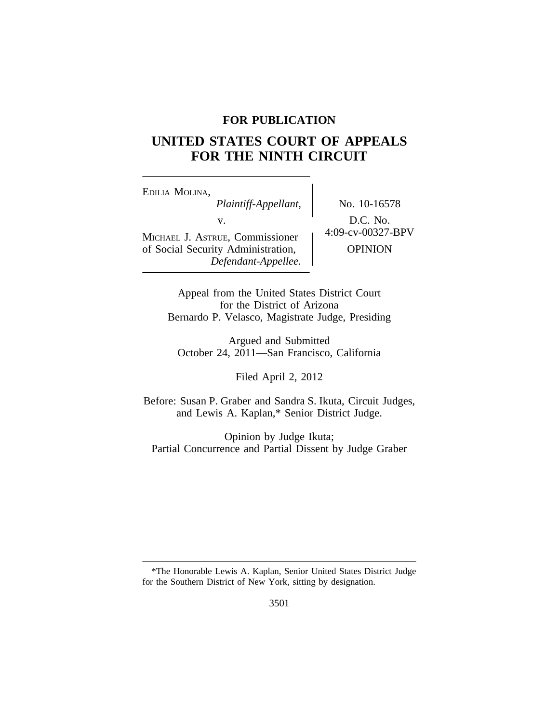# **FOR PUBLICATION**

# **UNITED STATES COURT OF APPEALS FOR THE NINTH CIRCUIT**

<sup>E</sup>DILIA MOLINA, *Plaintiff-Appellant,* No. 10-16578 v.  $D.C. No.$ <br>Formissionar  $\left\{\n\begin{array}{c}\n0.00327-BPV\n\end{array}\n\right\}$ MICHAEL J. ASTRUE, Commissioner of Social Security Administration,  $\qquad$  OPINION *Defendant-Appellee.*

Appeal from the United States District Court for the District of Arizona Bernardo P. Velasco, Magistrate Judge, Presiding

Argued and Submitted October 24, 2011—San Francisco, California

Filed April 2, 2012

Before: Susan P. Graber and Sandra S. Ikuta, Circuit Judges, and Lewis A. Kaplan,\* Senior District Judge.

Opinion by Judge Ikuta; Partial Concurrence and Partial Dissent by Judge Graber

<sup>\*</sup>The Honorable Lewis A. Kaplan, Senior United States District Judge for the Southern District of New York, sitting by designation.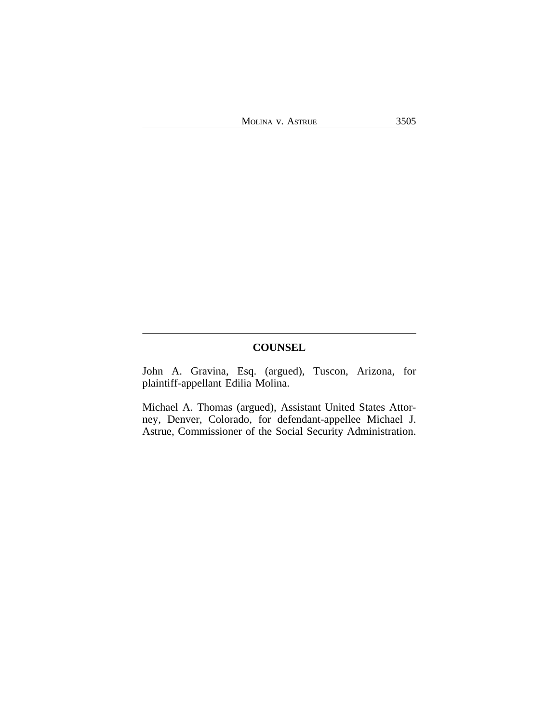# **COUNSEL**

John A. Gravina, Esq. (argued), Tuscon, Arizona, for plaintiff-appellant Edilia Molina.

Michael A. Thomas (argued), Assistant United States Attorney, Denver, Colorado, for defendant-appellee Michael J. Astrue, Commissioner of the Social Security Administration.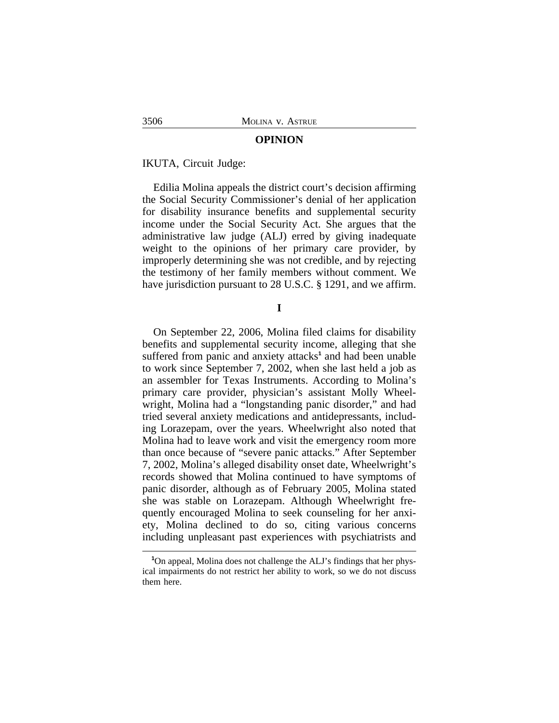#### **OPINION**

IKUTA, Circuit Judge:

Edilia Molina appeals the district court's decision affirming the Social Security Commissioner's denial of her application for disability insurance benefits and supplemental security income under the Social Security Act. She argues that the administrative law judge (ALJ) erred by giving inadequate weight to the opinions of her primary care provider, by improperly determining she was not credible, and by rejecting the testimony of her family members without comment. We have jurisdiction pursuant to 28 U.S.C. § 1291, and we affirm.

### **I**

On September 22, 2006, Molina filed claims for disability benefits and supplemental security income, alleging that she suffered from panic and anxiety attacks<sup>1</sup> and had been unable to work since September 7, 2002, when she last held a job as an assembler for Texas Instruments. According to Molina's primary care provider, physician's assistant Molly Wheelwright, Molina had a "longstanding panic disorder," and had tried several anxiety medications and antidepressants, including Lorazepam, over the years. Wheelwright also noted that Molina had to leave work and visit the emergency room more than once because of "severe panic attacks." After September 7, 2002, Molina's alleged disability onset date, Wheelwright's records showed that Molina continued to have symptoms of panic disorder, although as of February 2005, Molina stated she was stable on Lorazepam. Although Wheelwright frequently encouraged Molina to seek counseling for her anxiety, Molina declined to do so, citing various concerns including unpleasant past experiences with psychiatrists and

**<sup>1</sup>**On appeal, Molina does not challenge the ALJ's findings that her physical impairments do not restrict her ability to work, so we do not discuss them here.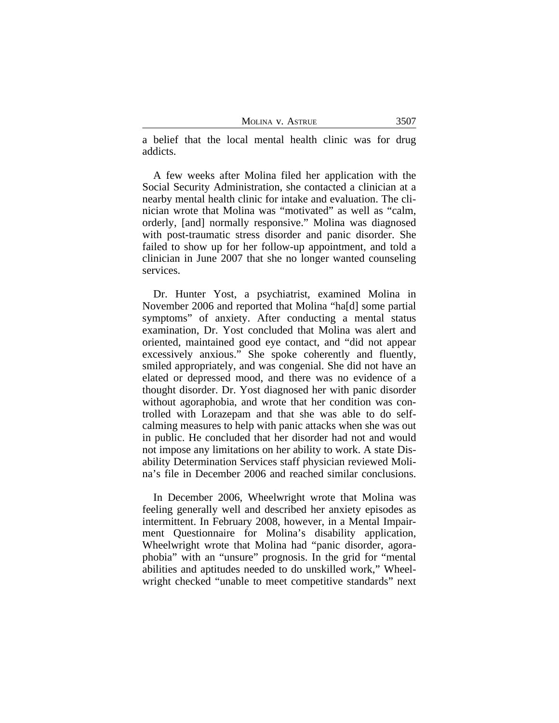| MOLINA V. ASTRUE | 3507 |
|------------------|------|
|------------------|------|

a belief that the local mental health clinic was for drug addicts.

A few weeks after Molina filed her application with the Social Security Administration, she contacted a clinician at a nearby mental health clinic for intake and evaluation. The clinician wrote that Molina was "motivated" as well as "calm, orderly, [and] normally responsive." Molina was diagnosed with post-traumatic stress disorder and panic disorder. She failed to show up for her follow-up appointment, and told a clinician in June 2007 that she no longer wanted counseling services.

Dr. Hunter Yost, a psychiatrist, examined Molina in November 2006 and reported that Molina "ha[d] some partial symptoms" of anxiety. After conducting a mental status examination, Dr. Yost concluded that Molina was alert and oriented, maintained good eye contact, and "did not appear excessively anxious." She spoke coherently and fluently, smiled appropriately, and was congenial. She did not have an elated or depressed mood, and there was no evidence of a thought disorder. Dr. Yost diagnosed her with panic disorder without agoraphobia, and wrote that her condition was controlled with Lorazepam and that she was able to do selfcalming measures to help with panic attacks when she was out in public. He concluded that her disorder had not and would not impose any limitations on her ability to work. A state Disability Determination Services staff physician reviewed Molina's file in December 2006 and reached similar conclusions.

In December 2006, Wheelwright wrote that Molina was feeling generally well and described her anxiety episodes as intermittent. In February 2008, however, in a Mental Impairment Questionnaire for Molina's disability application, Wheelwright wrote that Molina had "panic disorder, agoraphobia" with an "unsure" prognosis. In the grid for "mental abilities and aptitudes needed to do unskilled work," Wheelwright checked "unable to meet competitive standards" next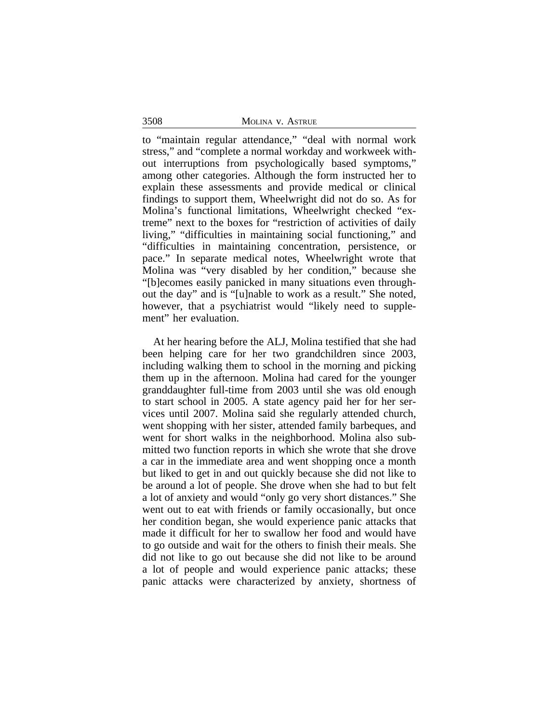to "maintain regular attendance," "deal with normal work stress," and "complete a normal workday and workweek without interruptions from psychologically based symptoms," among other categories. Although the form instructed her to explain these assessments and provide medical or clinical findings to support them, Wheelwright did not do so. As for Molina's functional limitations, Wheelwright checked "extreme" next to the boxes for "restriction of activities of daily living," "difficulties in maintaining social functioning," and "difficulties in maintaining concentration, persistence, or pace." In separate medical notes, Wheelwright wrote that Molina was "very disabled by her condition," because she "[b]ecomes easily panicked in many situations even throughout the day" and is "[u]nable to work as a result." She noted, however, that a psychiatrist would "likely need to supplement" her evaluation.

At her hearing before the ALJ, Molina testified that she had been helping care for her two grandchildren since 2003, including walking them to school in the morning and picking them up in the afternoon. Molina had cared for the younger granddaughter full-time from 2003 until she was old enough to start school in 2005. A state agency paid her for her services until 2007. Molina said she regularly attended church, went shopping with her sister, attended family barbeques, and went for short walks in the neighborhood. Molina also submitted two function reports in which she wrote that she drove a car in the immediate area and went shopping once a month but liked to get in and out quickly because she did not like to be around a lot of people. She drove when she had to but felt a lot of anxiety and would "only go very short distances." She went out to eat with friends or family occasionally, but once her condition began, she would experience panic attacks that made it difficult for her to swallow her food and would have to go outside and wait for the others to finish their meals. She did not like to go out because she did not like to be around a lot of people and would experience panic attacks; these panic attacks were characterized by anxiety, shortness of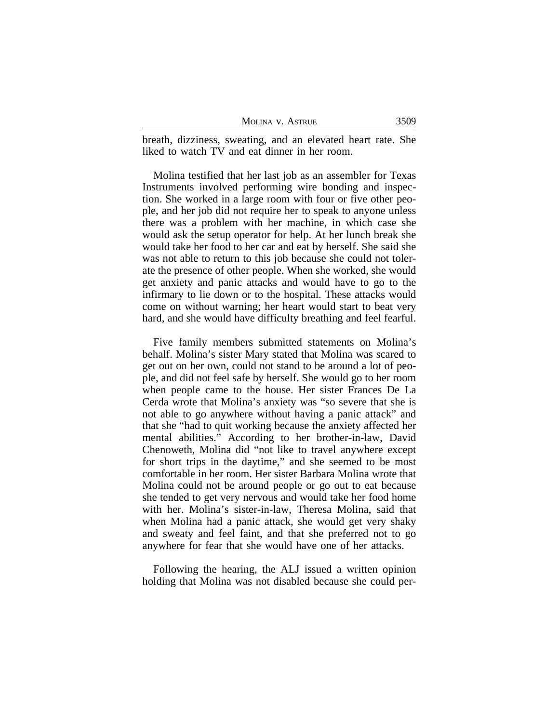| MOLINA V. ASTRUE | 3509 |
|------------------|------|
|------------------|------|

breath, dizziness, sweating, and an elevated heart rate. She liked to watch TV and eat dinner in her room.

Molina testified that her last job as an assembler for Texas Instruments involved performing wire bonding and inspection. She worked in a large room with four or five other people, and her job did not require her to speak to anyone unless there was a problem with her machine, in which case she would ask the setup operator for help. At her lunch break she would take her food to her car and eat by herself. She said she was not able to return to this job because she could not tolerate the presence of other people. When she worked, she would get anxiety and panic attacks and would have to go to the infirmary to lie down or to the hospital. These attacks would come on without warning; her heart would start to beat very hard, and she would have difficulty breathing and feel fearful.

Five family members submitted statements on Molina's behalf. Molina's sister Mary stated that Molina was scared to get out on her own, could not stand to be around a lot of people, and did not feel safe by herself. She would go to her room when people came to the house. Her sister Frances De La Cerda wrote that Molina's anxiety was "so severe that she is not able to go anywhere without having a panic attack" and that she "had to quit working because the anxiety affected her mental abilities." According to her brother-in-law, David Chenoweth, Molina did "not like to travel anywhere except for short trips in the daytime," and she seemed to be most comfortable in her room. Her sister Barbara Molina wrote that Molina could not be around people or go out to eat because she tended to get very nervous and would take her food home with her. Molina's sister-in-law, Theresa Molina, said that when Molina had a panic attack, she would get very shaky and sweaty and feel faint, and that she preferred not to go anywhere for fear that she would have one of her attacks.

Following the hearing, the ALJ issued a written opinion holding that Molina was not disabled because she could per-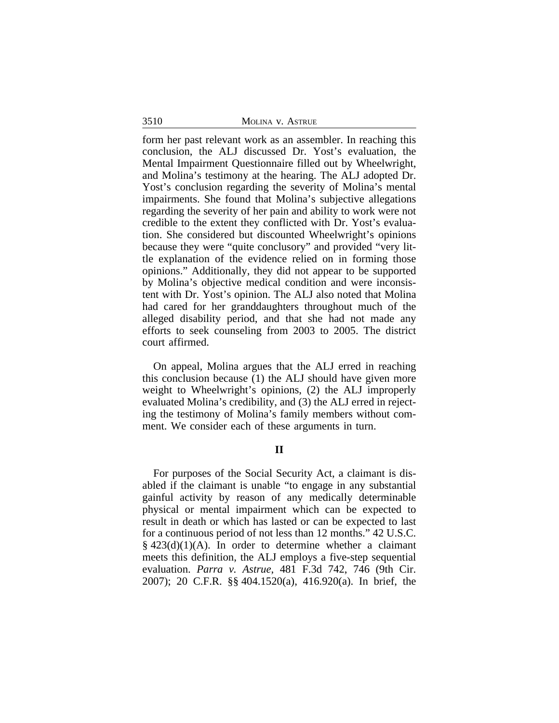form her past relevant work as an assembler. In reaching this conclusion, the ALJ discussed Dr. Yost's evaluation, the Mental Impairment Questionnaire filled out by Wheelwright, and Molina's testimony at the hearing. The ALJ adopted Dr. Yost's conclusion regarding the severity of Molina's mental impairments. She found that Molina's subjective allegations regarding the severity of her pain and ability to work were not credible to the extent they conflicted with Dr. Yost's evaluation. She considered but discounted Wheelwright's opinions because they were "quite conclusory" and provided "very little explanation of the evidence relied on in forming those opinions." Additionally, they did not appear to be supported by Molina's objective medical condition and were inconsistent with Dr. Yost's opinion. The ALJ also noted that Molina had cared for her granddaughters throughout much of the alleged disability period, and that she had not made any efforts to seek counseling from 2003 to 2005. The district court affirmed.

On appeal, Molina argues that the ALJ erred in reaching this conclusion because (1) the ALJ should have given more weight to Wheelwright's opinions, (2) the ALJ improperly evaluated Molina's credibility, and (3) the ALJ erred in rejecting the testimony of Molina's family members without comment. We consider each of these arguments in turn.

# **II**

For purposes of the Social Security Act, a claimant is disabled if the claimant is unable "to engage in any substantial gainful activity by reason of any medically determinable physical or mental impairment which can be expected to result in death or which has lasted or can be expected to last for a continuous period of not less than 12 months." 42 U.S.C.  $§$  423(d)(1)(A). In order to determine whether a claimant meets this definition, the ALJ employs a five-step sequential evaluation. *Parra v. Astrue*, 481 F.3d 742, 746 (9th Cir. 2007); 20 C.F.R. §§ 404.1520(a), 416.920(a). In brief, the

3510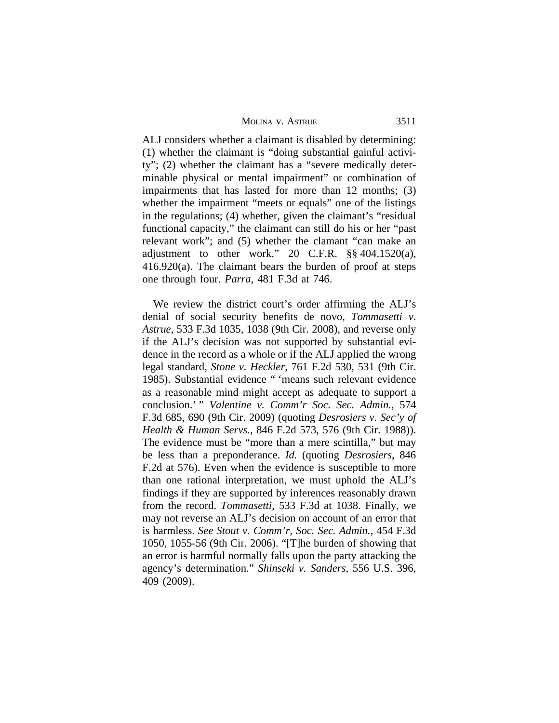MOLINA V. ASTRUE 3511

ALJ considers whether a claimant is disabled by determining: (1) whether the claimant is "doing substantial gainful activity"; (2) whether the claimant has a "severe medically determinable physical or mental impairment" or combination of impairments that has lasted for more than 12 months; (3) whether the impairment "meets or equals" one of the listings in the regulations; (4) whether, given the claimant's "residual functional capacity," the claimant can still do his or her "past relevant work"; and (5) whether the clamant "can make an adjustment to other work." 20 C.F.R. §§ 404.1520(a), 416.920(a). The claimant bears the burden of proof at steps one through four. *Parra*, 481 F.3d at 746.

We review the district court's order affirming the ALJ's denial of social security benefits de novo, *Tommasetti v. Astrue*, 533 F.3d 1035, 1038 (9th Cir. 2008), and reverse only if the ALJ's decision was not supported by substantial evidence in the record as a whole or if the ALJ applied the wrong legal standard, *Stone v. Heckler*, 761 F.2d 530, 531 (9th Cir. 1985). Substantial evidence " 'means such relevant evidence as a reasonable mind might accept as adequate to support a conclusion.' " *Valentine v. Comm'r Soc. Sec. Admin.*, 574 F.3d 685, 690 (9th Cir. 2009) (quoting *Desrosiers v. Sec'y of Health & Human Servs.*, 846 F.2d 573, 576 (9th Cir. 1988)). The evidence must be "more than a mere scintilla," but may be less than a preponderance. *Id.* (quoting *Desrosiers*, 846 F.2d at 576). Even when the evidence is susceptible to more than one rational interpretation, we must uphold the ALJ's findings if they are supported by inferences reasonably drawn from the record. *Tommasetti*, 533 F.3d at 1038. Finally, we may not reverse an ALJ's decision on account of an error that is harmless. *See Stout v. Comm'r, Soc. Sec. Admin.*, 454 F.3d 1050, 1055-56 (9th Cir. 2006). "[T]he burden of showing that an error is harmful normally falls upon the party attacking the agency's determination." *Shinseki v. Sanders*, 556 U.S. 396, 409 (2009).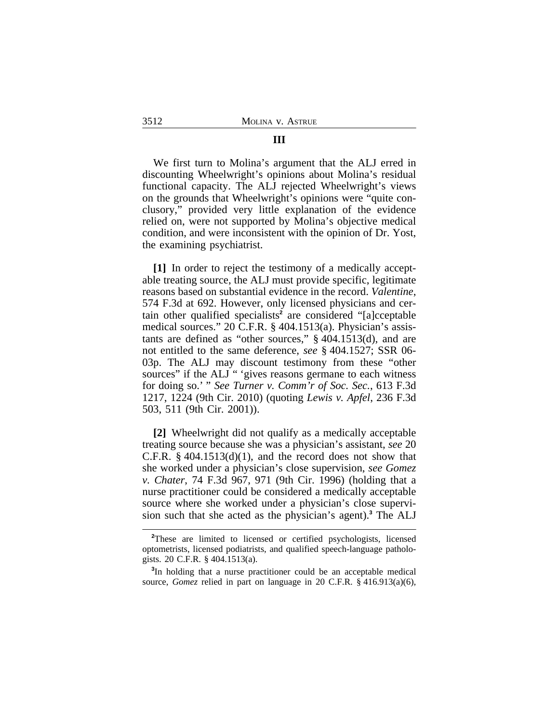# We first turn to Molina's argument that the ALJ erred in discounting Wheelwright's opinions about Molina's residual functional capacity. The ALJ rejected Wheelwright's views on the grounds that Wheelwright's opinions were "quite conclusory," provided very little explanation of the evidence relied on, were not supported by Molina's objective medical condition, and were inconsistent with the opinion of Dr. Yost, the examining psychiatrist.

**[1]** In order to reject the testimony of a medically acceptable treating source, the ALJ must provide specific, legitimate reasons based on substantial evidence in the record. *Valentine*, 574 F.3d at 692. However, only licensed physicians and certain other qualified specialists<sup>2</sup> are considered "[a]cceptable medical sources." 20 C.F.R. § 404.1513(a). Physician's assistants are defined as "other sources," § 404.1513(d), and are not entitled to the same deference, *see* § 404.1527; SSR 06- 03p. The ALJ may discount testimony from these "other sources" if the ALJ " 'gives reasons germane to each witness for doing so.' " *See Turner v. Comm'r of Soc. Sec.*, 613 F.3d 1217, 1224 (9th Cir. 2010) (quoting *Lewis v. Apfel*, 236 F.3d 503, 511 (9th Cir. 2001)).

**[2]** Wheelwright did not qualify as a medically acceptable treating source because she was a physician's assistant, *see* 20 C.F.R.  $\S$  404.1513(d)(1), and the record does not show that she worked under a physician's close supervision, *see Gomez v. Chater*, 74 F.3d 967, 971 (9th Cir. 1996) (holding that a nurse practitioner could be considered a medically acceptable source where she worked under a physician's close supervision such that she acted as the physician's agent).**<sup>3</sup>** The ALJ

#### **III**

**<sup>2</sup>**These are limited to licensed or certified psychologists, licensed optometrists, licensed podiatrists, and qualified speech-language pathologists. 20 C.F.R. § 404.1513(a).

**<sup>3</sup>** In holding that a nurse practitioner could be an acceptable medical source, *Gomez* relied in part on language in 20 C.F.R. § 416.913(a)(6),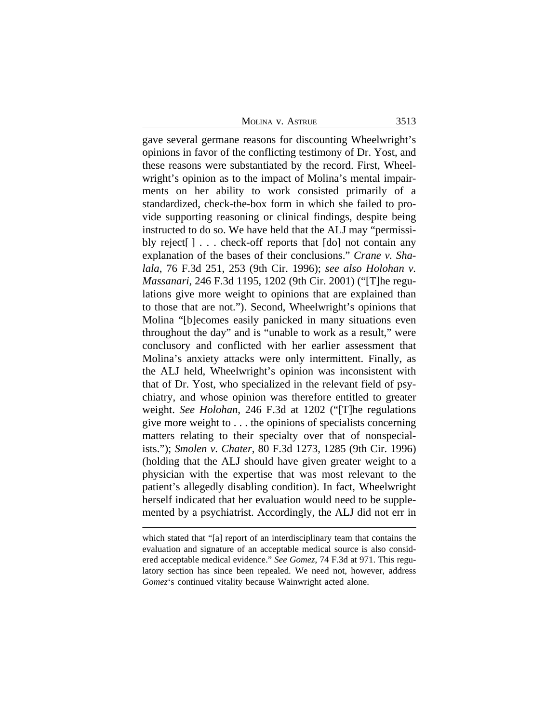MOLINA V. ASTRUE 3513

gave several germane reasons for discounting Wheelwright's opinions in favor of the conflicting testimony of Dr. Yost, and these reasons were substantiated by the record. First, Wheelwright's opinion as to the impact of Molina's mental impairments on her ability to work consisted primarily of a standardized, check-the-box form in which she failed to provide supporting reasoning or clinical findings, despite being instructed to do so. We have held that the ALJ may "permissibly reject[ ] . . . check-off reports that [do] not contain any explanation of the bases of their conclusions." *Crane v. Shalala*, 76 F.3d 251, 253 (9th Cir. 1996); *see also Holohan v. Massanari*, 246 F.3d 1195, 1202 (9th Cir. 2001) ("[T]he regulations give more weight to opinions that are explained than to those that are not."). Second, Wheelwright's opinions that Molina "[b]ecomes easily panicked in many situations even throughout the day" and is "unable to work as a result," were conclusory and conflicted with her earlier assessment that Molina's anxiety attacks were only intermittent. Finally, as the ALJ held, Wheelwright's opinion was inconsistent with that of Dr. Yost, who specialized in the relevant field of psychiatry, and whose opinion was therefore entitled to greater weight. *See Holohan*, 246 F.3d at 1202 ("[T]he regulations give more weight to . . . the opinions of specialists concerning matters relating to their specialty over that of nonspecialists."); *Smolen v. Chater*, 80 F.3d 1273, 1285 (9th Cir. 1996) (holding that the ALJ should have given greater weight to a physician with the expertise that was most relevant to the patient's allegedly disabling condition). In fact, Wheelwright herself indicated that her evaluation would need to be supplemented by a psychiatrist. Accordingly, the ALJ did not err in

which stated that "[a] report of an interdisciplinary team that contains the evaluation and signature of an acceptable medical source is also considered acceptable medical evidence." *See Gomez*, 74 F.3d at 971. This regulatory section has since been repealed. We need not, however, address *Gomez*'s continued vitality because Wainwright acted alone.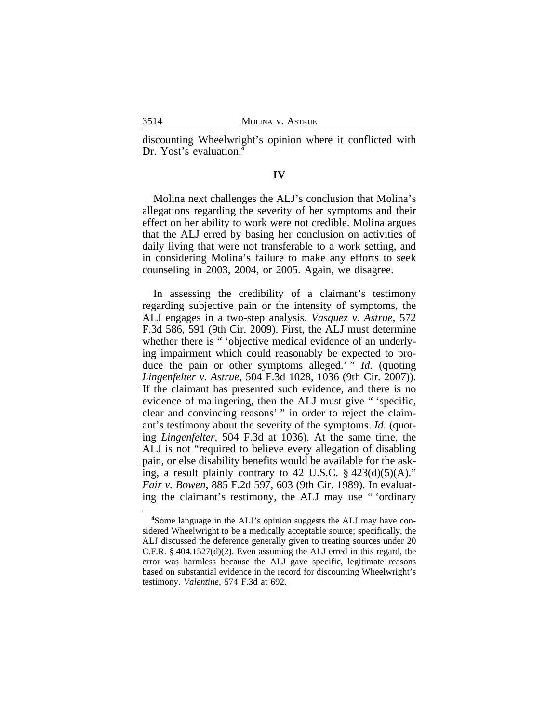discounting Wheelwright's opinion where it conflicted with Dr. Yost's evaluation.**<sup>4</sup>**

## **IV**

Molina next challenges the ALJ's conclusion that Molina's allegations regarding the severity of her symptoms and their effect on her ability to work were not credible. Molina argues that the ALJ erred by basing her conclusion on activities of daily living that were not transferable to a work setting, and in considering Molina's failure to make any efforts to seek counseling in 2003, 2004, or 2005. Again, we disagree.

In assessing the credibility of a claimant's testimony regarding subjective pain or the intensity of symptoms, the ALJ engages in a two-step analysis. *Vasquez v. Astrue*, 572 F.3d 586, 591 (9th Cir. 2009). First, the ALJ must determine whether there is " 'objective medical evidence of an underlying impairment which could reasonably be expected to produce the pain or other symptoms alleged.' " *Id.* (quoting *Lingenfelter v. Astrue*, 504 F.3d 1028, 1036 (9th Cir. 2007)). If the claimant has presented such evidence, and there is no evidence of malingering, then the ALJ must give " 'specific, clear and convincing reasons' " in order to reject the claimant's testimony about the severity of the symptoms. *Id.* (quoting *Lingenfelter*, 504 F.3d at 1036). At the same time, the ALJ is not "required to believe every allegation of disabling pain, or else disability benefits would be available for the asking, a result plainly contrary to 42 U.S.C.  $\S$  423(d)(5)(A)." *Fair v. Bowen*, 885 F.2d 597, 603 (9th Cir. 1989). In evaluating the claimant's testimony, the ALJ may use " 'ordinary

**<sup>4</sup>**Some language in the ALJ's opinion suggests the ALJ may have considered Wheelwright to be a medically acceptable source; specifically, the ALJ discussed the deference generally given to treating sources under 20 C.F.R. § 404.1527(d)(2). Even assuming the ALJ erred in this regard, the error was harmless because the ALJ gave specific, legitimate reasons based on substantial evidence in the record for discounting Wheelwright's testimony. *Valentine*, 574 F.3d at 692.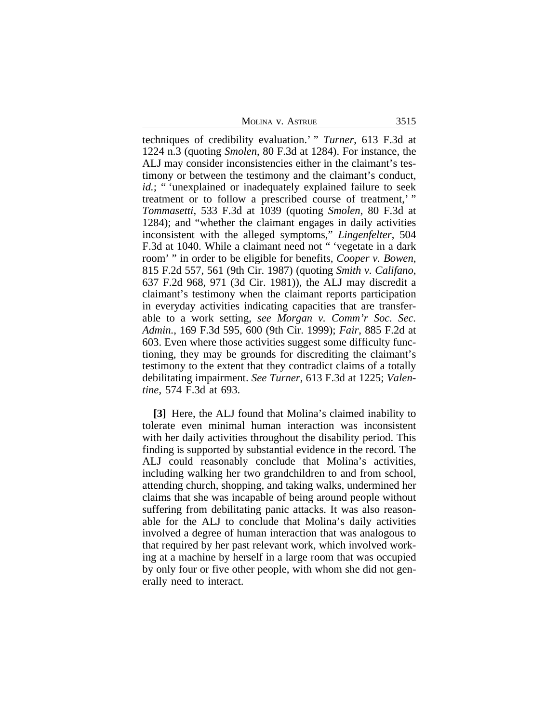MOLINA V. ASTRUE 3515

techniques of credibility evaluation.' " *Turner*, 613 F.3d at 1224 n.3 (quoting *Smolen*, 80 F.3d at 1284). For instance, the ALJ may consider inconsistencies either in the claimant's testimony or between the testimony and the claimant's conduct, *id.*; " 'unexplained or inadequately explained failure to seek treatment or to follow a prescribed course of treatment,' " *Tommasetti*, 533 F.3d at 1039 (quoting *Smolen*, 80 F.3d at 1284); and "whether the claimant engages in daily activities inconsistent with the alleged symptoms," *Lingenfelter*, 504 F.3d at 1040. While a claimant need not " 'vegetate in a dark room' " in order to be eligible for benefits, *Cooper v. Bowen*, 815 F.2d 557, 561 (9th Cir. 1987) (quoting *Smith v. Califano*, 637 F.2d 968, 971 (3d Cir. 1981)), the ALJ may discredit a claimant's testimony when the claimant reports participation in everyday activities indicating capacities that are transferable to a work setting, *see Morgan v. Comm'r Soc. Sec. Admin.*, 169 F.3d 595, 600 (9th Cir. 1999); *Fair*, 885 F.2d at 603. Even where those activities suggest some difficulty functioning, they may be grounds for discrediting the claimant's testimony to the extent that they contradict claims of a totally debilitating impairment. *See Turner*, 613 F.3d at 1225; *Valentine*, 574 F.3d at 693.

**[3]** Here, the ALJ found that Molina's claimed inability to tolerate even minimal human interaction was inconsistent with her daily activities throughout the disability period. This finding is supported by substantial evidence in the record. The ALJ could reasonably conclude that Molina's activities, including walking her two grandchildren to and from school, attending church, shopping, and taking walks, undermined her claims that she was incapable of being around people without suffering from debilitating panic attacks. It was also reasonable for the ALJ to conclude that Molina's daily activities involved a degree of human interaction that was analogous to that required by her past relevant work, which involved working at a machine by herself in a large room that was occupied by only four or five other people, with whom she did not generally need to interact.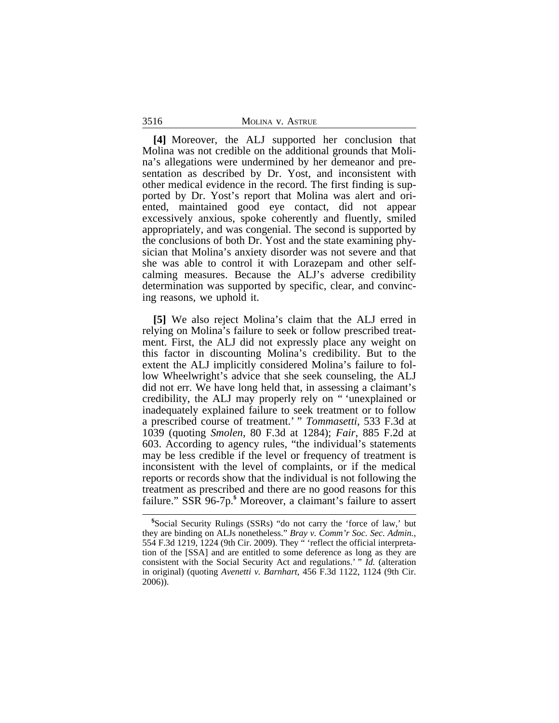**[4]** Moreover, the ALJ supported her conclusion that Molina was not credible on the additional grounds that Molina's allegations were undermined by her demeanor and presentation as described by Dr. Yost, and inconsistent with other medical evidence in the record. The first finding is supported by Dr. Yost's report that Molina was alert and oriented, maintained good eye contact, did not appear excessively anxious, spoke coherently and fluently, smiled appropriately, and was congenial. The second is supported by the conclusions of both Dr. Yost and the state examining physician that Molina's anxiety disorder was not severe and that she was able to control it with Lorazepam and other selfcalming measures. Because the ALJ's adverse credibility determination was supported by specific, clear, and convincing reasons, we uphold it.

**[5]** We also reject Molina's claim that the ALJ erred in relying on Molina's failure to seek or follow prescribed treatment. First, the ALJ did not expressly place any weight on this factor in discounting Molina's credibility. But to the extent the ALJ implicitly considered Molina's failure to follow Wheelwright's advice that she seek counseling, the ALJ did not err. We have long held that, in assessing a claimant's credibility, the ALJ may properly rely on " 'unexplained or inadequately explained failure to seek treatment or to follow a prescribed course of treatment.' " *Tommasetti*, 533 F.3d at 1039 (quoting *Smolen*, 80 F.3d at 1284); *Fair*, 885 F.2d at 603. According to agency rules, "the individual's statements may be less credible if the level or frequency of treatment is inconsistent with the level of complaints, or if the medical reports or records show that the individual is not following the treatment as prescribed and there are no good reasons for this failure." SSR 96-7p.<sup>5</sup> Moreover, a claimant's failure to assert

3516

**<sup>5</sup>**Social Security Rulings (SSRs) "do not carry the 'force of law,' but they are binding on ALJs nonetheless." *Bray v. Comm'r Soc. Sec. Admin.*, 554 F.3d 1219, 1224 (9th Cir. 2009). They " 'reflect the official interpretation of the [SSA] and are entitled to some deference as long as they are consistent with the Social Security Act and regulations.' " *Id.* (alteration in original) (quoting *Avenetti v. Barnhart*, 456 F.3d 1122, 1124 (9th Cir. 2006)).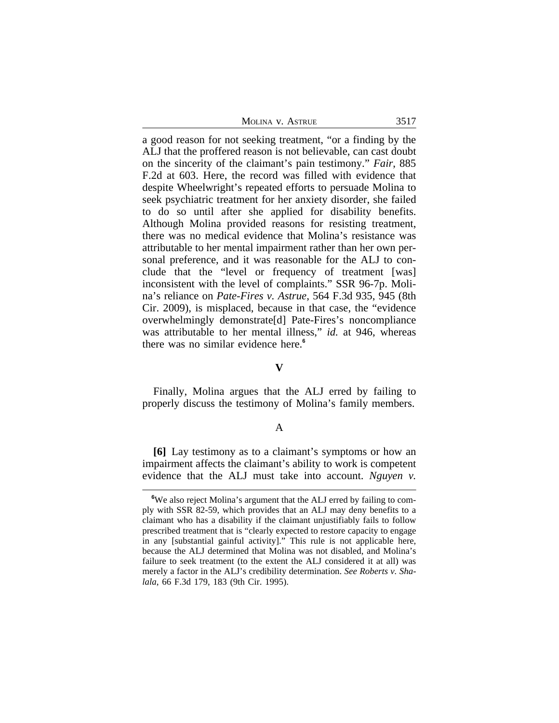| Molina v. Astrue | 3517 |
|------------------|------|
|------------------|------|

a good reason for not seeking treatment, "or a finding by the ALJ that the proffered reason is not believable, can cast doubt on the sincerity of the claimant's pain testimony." *Fair*, 885 F.2d at 603. Here, the record was filled with evidence that despite Wheelwright's repeated efforts to persuade Molina to seek psychiatric treatment for her anxiety disorder, she failed to do so until after she applied for disability benefits. Although Molina provided reasons for resisting treatment, there was no medical evidence that Molina's resistance was attributable to her mental impairment rather than her own personal preference, and it was reasonable for the ALJ to conclude that the "level or frequency of treatment [was] inconsistent with the level of complaints." SSR 96-7p. Molina's reliance on *Pate-Fires v. Astrue*, 564 F.3d 935, 945 (8th Cir. 2009), is misplaced, because in that case, the "evidence overwhelmingly demonstrate[d] Pate-Fires's noncompliance was attributable to her mental illness," *id.* at 946, whereas there was no similar evidence here.**<sup>6</sup>**

## **V**

Finally, Molina argues that the ALJ erred by failing to properly discuss the testimony of Molina's family members.

### A

**[6]** Lay testimony as to a claimant's symptoms or how an impairment affects the claimant's ability to work is competent evidence that the ALJ must take into account. *Nguyen v.*

**<sup>6</sup>**We also reject Molina's argument that the ALJ erred by failing to comply with SSR 82-59, which provides that an ALJ may deny benefits to a claimant who has a disability if the claimant unjustifiably fails to follow prescribed treatment that is "clearly expected to restore capacity to engage in any [substantial gainful activity]." This rule is not applicable here, because the ALJ determined that Molina was not disabled, and Molina's failure to seek treatment (to the extent the ALJ considered it at all) was merely a factor in the ALJ's credibility determination. *See Roberts v. Shalala*, 66 F.3d 179, 183 (9th Cir. 1995).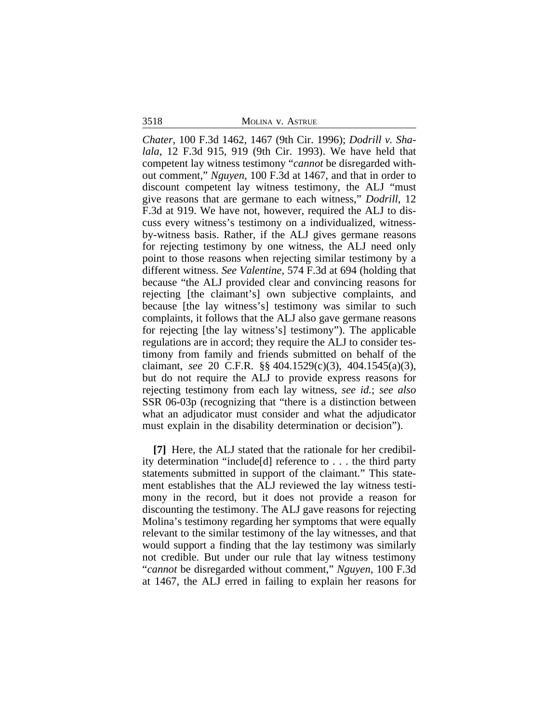3518 MOLINA v. ASTRUE

*Chater*, 100 F.3d 1462, 1467 (9th Cir. 1996); *Dodrill v. Shalala*, 12 F.3d 915, 919 (9th Cir. 1993). We have held that competent lay witness testimony "*cannot* be disregarded without comment," *Nguyen*, 100 F.3d at 1467, and that in order to discount competent lay witness testimony, the ALJ "must give reasons that are germane to each witness," *Dodrill*, 12 F.3d at 919. We have not, however, required the ALJ to discuss every witness's testimony on a individualized, witnessby-witness basis. Rather, if the ALJ gives germane reasons for rejecting testimony by one witness, the ALJ need only point to those reasons when rejecting similar testimony by a different witness. *See Valentine*, 574 F.3d at 694 (holding that because "the ALJ provided clear and convincing reasons for rejecting [the claimant's] own subjective complaints, and because [the lay witness's] testimony was similar to such complaints, it follows that the ALJ also gave germane reasons for rejecting [the lay witness's] testimony"). The applicable regulations are in accord; they require the ALJ to consider testimony from family and friends submitted on behalf of the claimant, *see* 20 C.F.R. §§ 404.1529(c)(3), 404.1545(a)(3), but do not require the ALJ to provide express reasons for rejecting testimony from each lay witness, *see id.*; *see also* SSR 06-03p (recognizing that "there is a distinction between what an adjudicator must consider and what the adjudicator must explain in the disability determination or decision").

**[7]** Here, the ALJ stated that the rationale for her credibility determination "include[d] reference to . . . the third party statements submitted in support of the claimant." This statement establishes that the ALJ reviewed the lay witness testimony in the record, but it does not provide a reason for discounting the testimony. The ALJ gave reasons for rejecting Molina's testimony regarding her symptoms that were equally relevant to the similar testimony of the lay witnesses, and that would support a finding that the lay testimony was similarly not credible. But under our rule that lay witness testimony "*cannot* be disregarded without comment," *Nguyen*, 100 F.3d at 1467, the ALJ erred in failing to explain her reasons for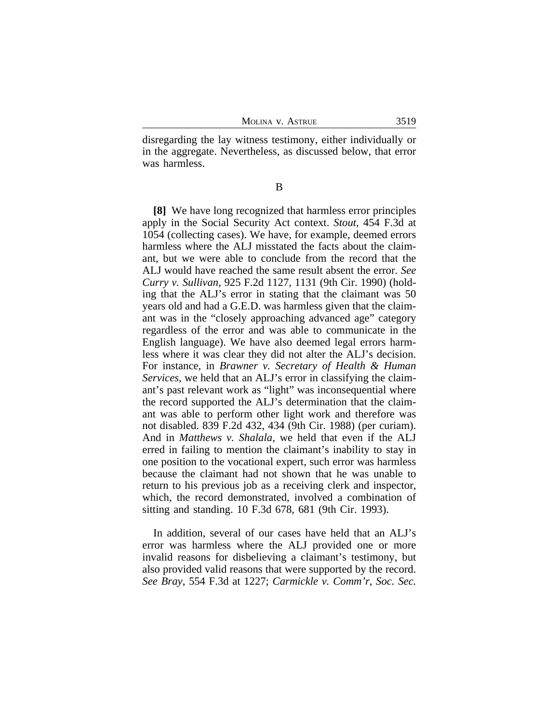disregarding the lay witness testimony, either individually or in the aggregate. Nevertheless, as discussed below, that error was harmless.

B

**[8]** We have long recognized that harmless error principles apply in the Social Security Act context. *Stout*, 454 F.3d at 1054 (collecting cases). We have, for example, deemed errors harmless where the ALJ misstated the facts about the claimant, but we were able to conclude from the record that the ALJ would have reached the same result absent the error. *See Curry v. Sullivan*, 925 F.2d 1127, 1131 (9th Cir. 1990) (holding that the ALJ's error in stating that the claimant was 50 years old and had a G.E.D. was harmless given that the claimant was in the "closely approaching advanced age" category regardless of the error and was able to communicate in the English language). We have also deemed legal errors harmless where it was clear they did not alter the ALJ's decision. For instance, in *Brawner v. Secretary of Health & Human Services*, we held that an ALJ's error in classifying the claimant's past relevant work as "light" was inconsequential where the record supported the ALJ's determination that the claimant was able to perform other light work and therefore was not disabled. 839 F.2d 432, 434 (9th Cir. 1988) (per curiam). And in *Matthews v. Shalala*, we held that even if the ALJ erred in failing to mention the claimant's inability to stay in one position to the vocational expert, such error was harmless because the claimant had not shown that he was unable to return to his previous job as a receiving clerk and inspector, which, the record demonstrated, involved a combination of sitting and standing. 10 F.3d 678, 681 (9th Cir. 1993).

In addition, several of our cases have held that an ALJ's error was harmless where the ALJ provided one or more invalid reasons for disbelieving a claimant's testimony, but also provided valid reasons that were supported by the record. *See Bray*, 554 F.3d at 1227; *Carmickle v. Comm'r, Soc. Sec.*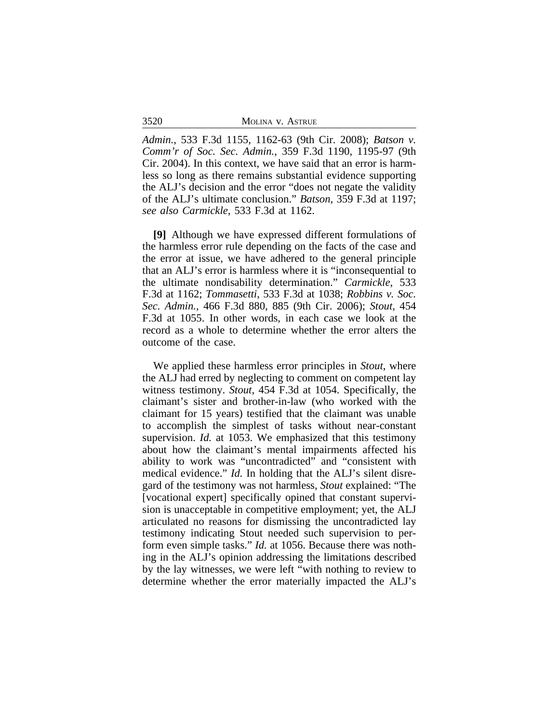3520 MOLINA v. ASTRUE

*Admin.*, 533 F.3d 1155, 1162-63 (9th Cir. 2008); *Batson v. Comm'r of Soc. Sec. Admin.*, 359 F.3d 1190, 1195-97 (9th Cir. 2004). In this context, we have said that an error is harmless so long as there remains substantial evidence supporting the ALJ's decision and the error "does not negate the validity of the ALJ's ultimate conclusion." *Batson*, 359 F.3d at 1197; *see also Carmickle*, 533 F.3d at 1162.

**[9]** Although we have expressed different formulations of the harmless error rule depending on the facts of the case and the error at issue, we have adhered to the general principle that an ALJ's error is harmless where it is "inconsequential to the ultimate nondisability determination." *Carmickle*, 533 F.3d at 1162; *Tommasetti*, 533 F.3d at 1038; *Robbins v. Soc. Sec. Admin.*, 466 F.3d 880, 885 (9th Cir. 2006); *Stout*, 454 F.3d at 1055. In other words, in each case we look at the record as a whole to determine whether the error alters the outcome of the case.

We applied these harmless error principles in *Stout*, where the ALJ had erred by neglecting to comment on competent lay witness testimony. *Stout*, 454 F.3d at 1054. Specifically, the claimant's sister and brother-in-law (who worked with the claimant for 15 years) testified that the claimant was unable to accomplish the simplest of tasks without near-constant supervision. *Id.* at 1053. We emphasized that this testimony about how the claimant's mental impairments affected his ability to work was "uncontradicted" and "consistent with medical evidence." *Id.* In holding that the ALJ's silent disregard of the testimony was not harmless, *Stout* explained: "The [vocational expert] specifically opined that constant supervision is unacceptable in competitive employment; yet, the ALJ articulated no reasons for dismissing the uncontradicted lay testimony indicating Stout needed such supervision to perform even simple tasks." *Id.* at 1056. Because there was nothing in the ALJ's opinion addressing the limitations described by the lay witnesses, we were left "with nothing to review to determine whether the error materially impacted the ALJ's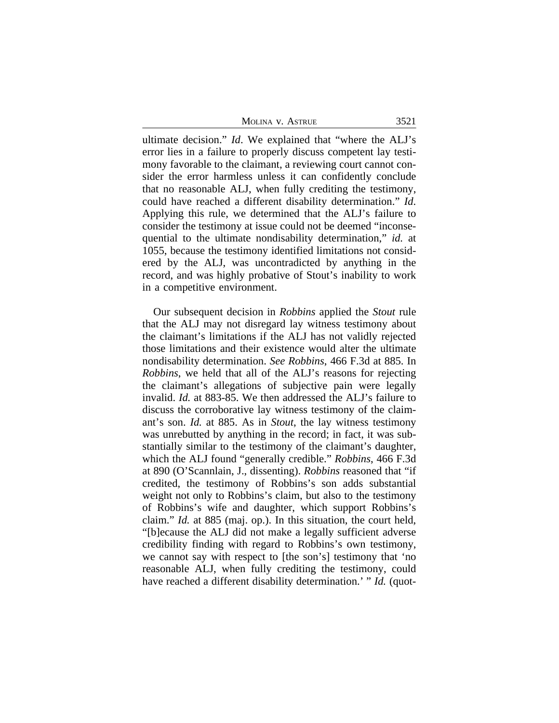| MOLINA V. ASTRUE | 3521 |
|------------------|------|
|------------------|------|

ultimate decision." *Id*. We explained that "where the ALJ's error lies in a failure to properly discuss competent lay testimony favorable to the claimant, a reviewing court cannot consider the error harmless unless it can confidently conclude that no reasonable ALJ, when fully crediting the testimony, could have reached a different disability determination." *Id*. Applying this rule, we determined that the ALJ's failure to consider the testimony at issue could not be deemed "inconsequential to the ultimate nondisability determination," *id.* at 1055, because the testimony identified limitations not considered by the ALJ, was uncontradicted by anything in the record, and was highly probative of Stout's inability to work in a competitive environment.

Our subsequent decision in *Robbins* applied the *Stout* rule that the ALJ may not disregard lay witness testimony about the claimant's limitations if the ALJ has not validly rejected those limitations and their existence would alter the ultimate nondisability determination. *See Robbins*, 466 F.3d at 885. In *Robbins*, we held that all of the ALJ's reasons for rejecting the claimant's allegations of subjective pain were legally invalid. *Id.* at 883-85. We then addressed the ALJ's failure to discuss the corroborative lay witness testimony of the claimant's son. *Id.* at 885. As in *Stout*, the lay witness testimony was unrebutted by anything in the record; in fact, it was substantially similar to the testimony of the claimant's daughter, which the ALJ found "generally credible." *Robbins*, 466 F.3d at 890 (O'Scannlain, J., dissenting). *Robbins* reasoned that "if credited, the testimony of Robbins's son adds substantial weight not only to Robbins's claim, but also to the testimony of Robbins's wife and daughter, which support Robbins's claim." *Id.* at 885 (maj. op.). In this situation, the court held, "[b]ecause the ALJ did not make a legally sufficient adverse credibility finding with regard to Robbins's own testimony, we cannot say with respect to [the son's] testimony that 'no reasonable ALJ, when fully crediting the testimony, could have reached a different disability determination.' " *Id.* (quot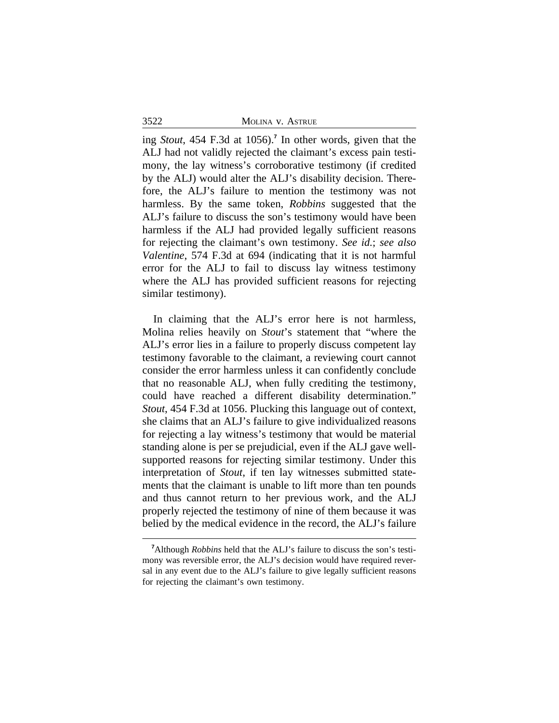3522 MOLINA v. ASTRUE

ing *Stout*, 454 F.3d at 1056).**<sup>7</sup>** In other words, given that the ALJ had not validly rejected the claimant's excess pain testimony, the lay witness's corroborative testimony (if credited by the ALJ) would alter the ALJ's disability decision. Therefore, the ALJ's failure to mention the testimony was not harmless. By the same token, *Robbins* suggested that the ALJ's failure to discuss the son's testimony would have been harmless if the ALJ had provided legally sufficient reasons for rejecting the claimant's own testimony. *See id.*; *see also Valentine*, 574 F.3d at 694 (indicating that it is not harmful error for the ALJ to fail to discuss lay witness testimony where the ALJ has provided sufficient reasons for rejecting similar testimony).

In claiming that the ALJ's error here is not harmless, Molina relies heavily on *Stout*'s statement that "where the ALJ's error lies in a failure to properly discuss competent lay testimony favorable to the claimant, a reviewing court cannot consider the error harmless unless it can confidently conclude that no reasonable ALJ, when fully crediting the testimony, could have reached a different disability determination." *Stout*, 454 F.3d at 1056. Plucking this language out of context, she claims that an ALJ's failure to give individualized reasons for rejecting a lay witness's testimony that would be material standing alone is per se prejudicial, even if the ALJ gave wellsupported reasons for rejecting similar testimony. Under this interpretation of *Stout*, if ten lay witnesses submitted statements that the claimant is unable to lift more than ten pounds and thus cannot return to her previous work, and the ALJ properly rejected the testimony of nine of them because it was belied by the medical evidence in the record, the ALJ's failure

**<sup>7</sup>**Although *Robbins* held that the ALJ's failure to discuss the son's testimony was reversible error, the ALJ's decision would have required reversal in any event due to the ALJ's failure to give legally sufficient reasons for rejecting the claimant's own testimony.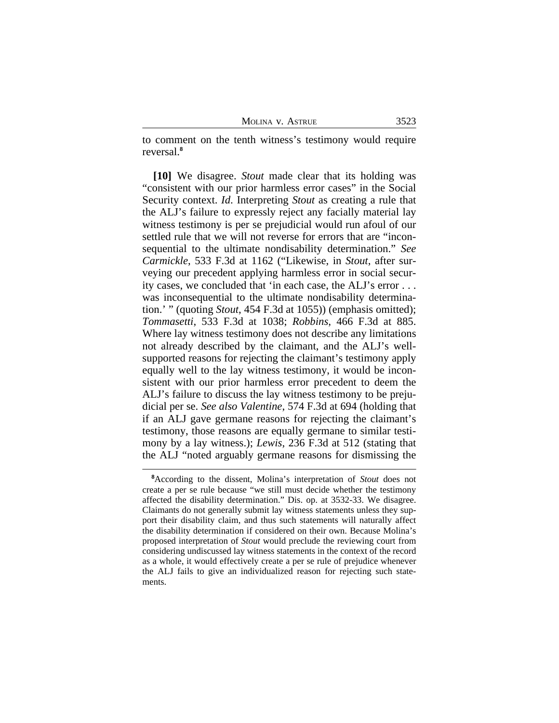MOLINA V. ASTRUE 3523

to comment on the tenth witness's testimony would require reversal.**<sup>8</sup>**

**[10]** We disagree. *Stout* made clear that its holding was "consistent with our prior harmless error cases" in the Social Security context. *Id*. Interpreting *Stout* as creating a rule that the ALJ's failure to expressly reject any facially material lay witness testimony is per se prejudicial would run afoul of our settled rule that we will not reverse for errors that are "inconsequential to the ultimate nondisability determination." *See Carmickle*, 533 F.3d at 1162 ("Likewise, in *Stout*, after surveying our precedent applying harmless error in social security cases, we concluded that 'in each case, the ALJ's error . . . was inconsequential to the ultimate nondisability determination.' " (quoting *Stout*, 454 F.3d at 1055)) (emphasis omitted); *Tommasetti*, 533 F.3d at 1038; *Robbins*, 466 F.3d at 885. Where lay witness testimony does not describe any limitations not already described by the claimant, and the ALJ's wellsupported reasons for rejecting the claimant's testimony apply equally well to the lay witness testimony, it would be inconsistent with our prior harmless error precedent to deem the ALJ's failure to discuss the lay witness testimony to be prejudicial per se. *See also Valentine*, 574 F.3d at 694 (holding that if an ALJ gave germane reasons for rejecting the claimant's testimony, those reasons are equally germane to similar testimony by a lay witness.); *Lewis*, 236 F.3d at 512 (stating that the ALJ "noted arguably germane reasons for dismissing the

**<sup>8</sup>**According to the dissent, Molina's interpretation of *Stout* does not create a per se rule because "we still must decide whether the testimony affected the disability determination." Dis. op. at 3532-33. We disagree. Claimants do not generally submit lay witness statements unless they support their disability claim, and thus such statements will naturally affect the disability determination if considered on their own. Because Molina's proposed interpretation of *Stout* would preclude the reviewing court from considering undiscussed lay witness statements in the context of the record as a whole, it would effectively create a per se rule of prejudice whenever the ALJ fails to give an individualized reason for rejecting such statements.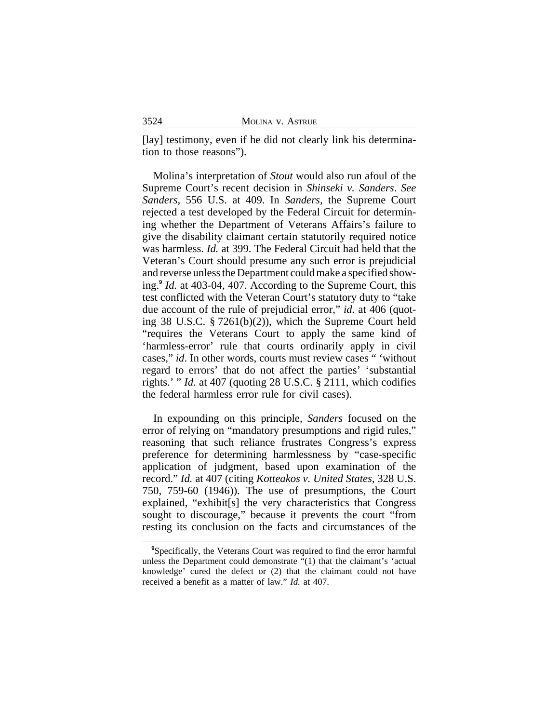[lay] testimony, even if he did not clearly link his determination to those reasons").

Molina's interpretation of *Stout* would also run afoul of the Supreme Court's recent decision in *Shinseki v. Sanders*. *See Sanders*, 556 U.S. at 409. In *Sanders*, the Supreme Court rejected a test developed by the Federal Circuit for determining whether the Department of Veterans Affairs's failure to give the disability claimant certain statutorily required notice was harmless. *Id.* at 399. The Federal Circuit had held that the Veteran's Court should presume any such error is prejudicial and reverse unless the Department could make a specified showing.**<sup>9</sup>** *Id.* at 403-04, 407. According to the Supreme Court, this test conflicted with the Veteran Court's statutory duty to "take due account of the rule of prejudicial error," *id.* at 406 (quoting 38 U.S.C. § 7261(b)(2)), which the Supreme Court held "requires the Veterans Court to apply the same kind of 'harmless-error' rule that courts ordinarily apply in civil cases," *id*. In other words, courts must review cases " 'without regard to errors' that do not affect the parties' 'substantial rights.' " *Id.* at 407 (quoting 28 U.S.C. § 2111, which codifies the federal harmless error rule for civil cases).

In expounding on this principle, *Sanders* focused on the error of relying on "mandatory presumptions and rigid rules," reasoning that such reliance frustrates Congress's express preference for determining harmlessness by "case-specific application of judgment, based upon examination of the record." *Id.* at 407 (citing *Kotteakos v. United States*, 328 U.S. 750, 759-60 (1946)). The use of presumptions, the Court explained, "exhibit[s] the very characteristics that Congress sought to discourage," because it prevents the court "from resting its conclusion on the facts and circumstances of the

<sup>&</sup>lt;sup>9</sup>Specifically, the Veterans Court was required to find the error harmful unless the Department could demonstrate "(1) that the claimant's 'actual knowledge' cured the defect or (2) that the claimant could not have received a benefit as a matter of law." *Id.* at 407.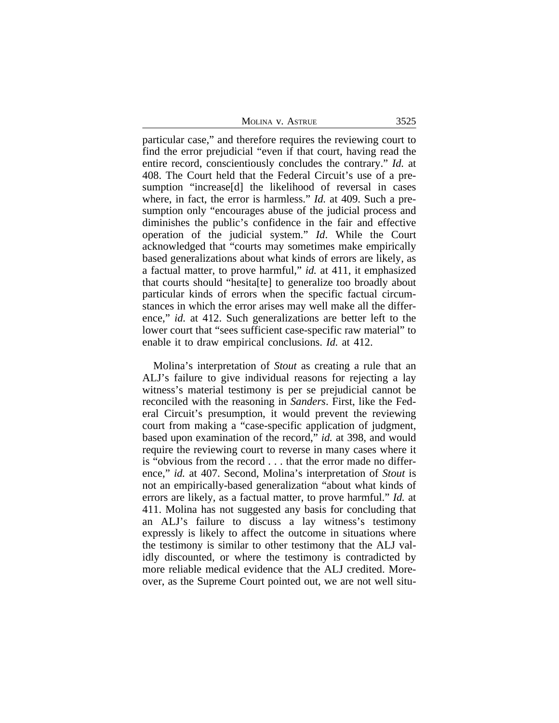| Molina v. Astrue | 3525 |
|------------------|------|
|                  |      |

particular case," and therefore requires the reviewing court to find the error prejudicial "even if that court, having read the entire record, conscientiously concludes the contrary." *Id.* at 408. The Court held that the Federal Circuit's use of a presumption "increase[d] the likelihood of reversal in cases where, in fact, the error is harmless." *Id.* at 409. Such a presumption only "encourages abuse of the judicial process and diminishes the public's confidence in the fair and effective operation of the judicial system." *Id*. While the Court acknowledged that "courts may sometimes make empirically based generalizations about what kinds of errors are likely, as a factual matter, to prove harmful," *id.* at 411, it emphasized that courts should "hesita[te] to generalize too broadly about particular kinds of errors when the specific factual circumstances in which the error arises may well make all the difference," *id.* at 412. Such generalizations are better left to the lower court that "sees sufficient case-specific raw material" to enable it to draw empirical conclusions. *Id.* at 412.

Molina's interpretation of *Stout* as creating a rule that an ALJ's failure to give individual reasons for rejecting a lay witness's material testimony is per se prejudicial cannot be reconciled with the reasoning in *Sanders*. First, like the Federal Circuit's presumption, it would prevent the reviewing court from making a "case-specific application of judgment, based upon examination of the record," *id.* at 398, and would require the reviewing court to reverse in many cases where it is "obvious from the record . . . that the error made no difference," *id.* at 407. Second, Molina's interpretation of *Stout* is not an empirically-based generalization "about what kinds of errors are likely, as a factual matter, to prove harmful." *Id.* at 411. Molina has not suggested any basis for concluding that an ALJ's failure to discuss a lay witness's testimony expressly is likely to affect the outcome in situations where the testimony is similar to other testimony that the ALJ validly discounted, or where the testimony is contradicted by more reliable medical evidence that the ALJ credited. Moreover, as the Supreme Court pointed out, we are not well situ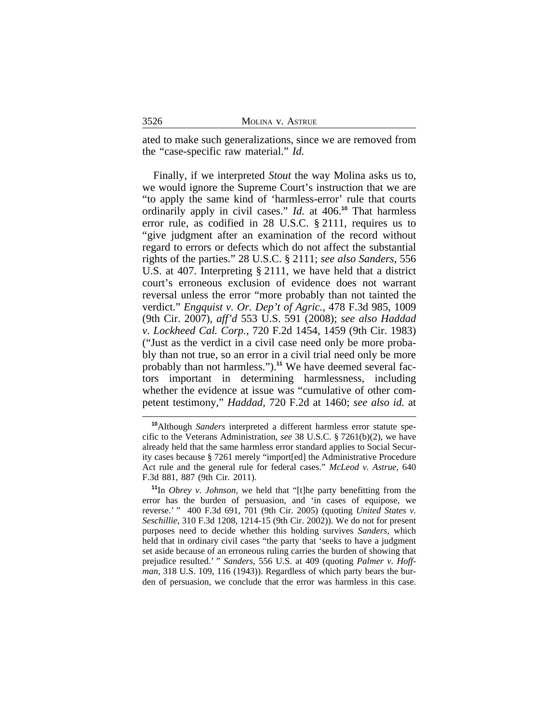ated to make such generalizations, since we are removed from the "case-specific raw material." *Id.*

Finally, if we interpreted *Stout* the way Molina asks us to, we would ignore the Supreme Court's instruction that we are "to apply the same kind of 'harmless-error' rule that courts ordinarily apply in civil cases." *Id.* at 406.**<sup>10</sup>** That harmless error rule, as codified in 28 U.S.C. § 2111, requires us to "give judgment after an examination of the record without regard to errors or defects which do not affect the substantial rights of the parties." 28 U.S.C. § 2111; *see also Sanders*, 556 U.S. at 407. Interpreting § 2111, we have held that a district court's erroneous exclusion of evidence does not warrant reversal unless the error "more probably than not tainted the verdict." *Engquist v. Or. Dep't of Agric.*, 478 F.3d 985, 1009 (9th Cir. 2007), *aff'd* 553 U.S. 591 (2008); *see also Haddad v. Lockheed Cal. Corp.*, 720 F.2d 1454, 1459 (9th Cir. 1983) ("Just as the verdict in a civil case need only be more probably than not true, so an error in a civil trial need only be more probably than not harmless.").**11** We have deemed several factors important in determining harmlessness, including whether the evidence at issue was "cumulative of other competent testimony," *Haddad*, 720 F.2d at 1460; *see also id.* at

**<sup>10</sup>**Although *Sanders* interpreted a different harmless error statute specific to the Veterans Administration, *see* 38 U.S.C. § 7261(b)(2), we have already held that the same harmless error standard applies to Social Security cases because § 7261 merely "import[ed] the Administrative Procedure Act rule and the general rule for federal cases." *McLeod v. Astrue*, 640 F.3d 881, 887 (9th Cir. 2011).

**<sup>11</sup>**In *Obrey v. Johnson*, we held that "[t]he party benefitting from the error has the burden of persuasion, and 'in cases of equipose, we reverse.' " 400 F.3d 691, 701 (9th Cir. 2005) (quoting *United States v. Seschillie*, 310 F.3d 1208, 1214-15 (9th Cir. 2002)). We do not for present purposes need to decide whether this holding survives *Sanders*, which held that in ordinary civil cases "the party that 'seeks to have a judgment set aside because of an erroneous ruling carries the burden of showing that prejudice resulted.' " *Sanders*, 556 U.S. at 409 (quoting *Palmer v. Hoffman*, 318 U.S. 109, 116 (1943)). Regardless of which party bears the burden of persuasion, we conclude that the error was harmless in this case.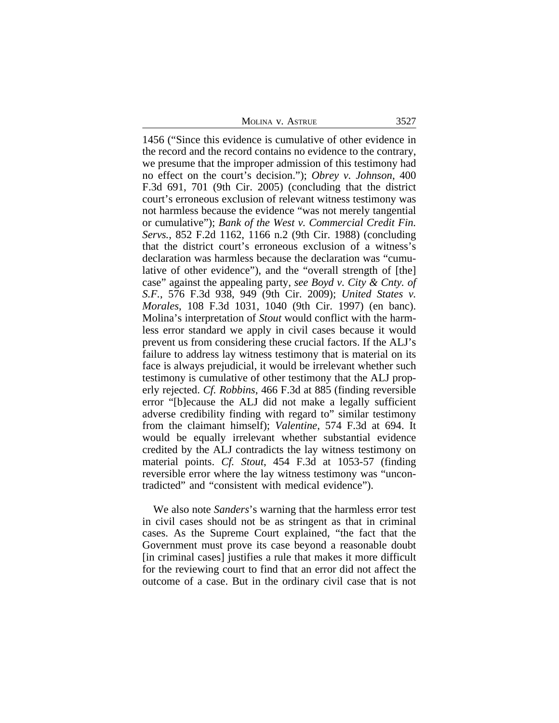MOLINA V. ASTRUE 3527

1456 ("Since this evidence is cumulative of other evidence in the record and the record contains no evidence to the contrary, we presume that the improper admission of this testimony had no effect on the court's decision."); *Obrey v. Johnson*, 400 F.3d 691, 701 (9th Cir. 2005) (concluding that the district court's erroneous exclusion of relevant witness testimony was not harmless because the evidence "was not merely tangential or cumulative"); *Bank of the West v. Commercial Credit Fin. Servs.*, 852 F.2d 1162, 1166 n.2 (9th Cir. 1988) (concluding that the district court's erroneous exclusion of a witness's declaration was harmless because the declaration was "cumulative of other evidence"), and the "overall strength of [the] case" against the appealing party, *see Boyd v. City & Cnty. of S.F.*, 576 F.3d 938, 949 (9th Cir. 2009); *United States v. Morales*, 108 F.3d 1031, 1040 (9th Cir. 1997) (en banc). Molina's interpretation of *Stout* would conflict with the harmless error standard we apply in civil cases because it would prevent us from considering these crucial factors. If the ALJ's failure to address lay witness testimony that is material on its face is always prejudicial, it would be irrelevant whether such testimony is cumulative of other testimony that the ALJ properly rejected. *Cf. Robbins*, 466 F.3d at 885 (finding reversible error "[b]ecause the ALJ did not make a legally sufficient adverse credibility finding with regard to" similar testimony from the claimant himself); *Valentine*, 574 F.3d at 694. It would be equally irrelevant whether substantial evidence credited by the ALJ contradicts the lay witness testimony on material points. *Cf. Stout*, 454 F.3d at 1053-57 (finding reversible error where the lay witness testimony was "uncontradicted" and "consistent with medical evidence").

We also note *Sanders*'s warning that the harmless error test in civil cases should not be as stringent as that in criminal cases. As the Supreme Court explained, "the fact that the Government must prove its case beyond a reasonable doubt [in criminal cases] justifies a rule that makes it more difficult for the reviewing court to find that an error did not affect the outcome of a case. But in the ordinary civil case that is not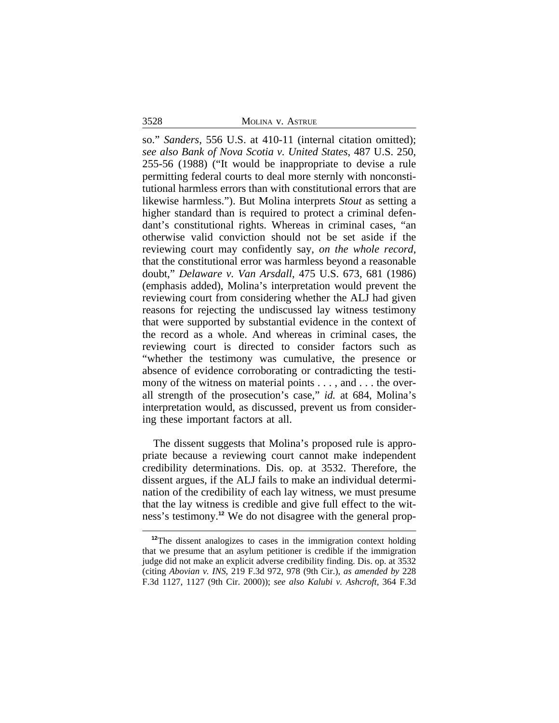3528 MOLINA v. ASTRUE

so." *Sanders*, 556 U.S. at 410-11 (internal citation omitted); *see also Bank of Nova Scotia v. United States*, 487 U.S. 250, 255-56 (1988) ("It would be inappropriate to devise a rule permitting federal courts to deal more sternly with nonconstitutional harmless errors than with constitutional errors that are likewise harmless."). But Molina interprets *Stout* as setting a higher standard than is required to protect a criminal defendant's constitutional rights. Whereas in criminal cases, "an otherwise valid conviction should not be set aside if the reviewing court may confidently say, *on the whole record*, that the constitutional error was harmless beyond a reasonable doubt," *Delaware v. Van Arsdall*, 475 U.S. 673, 681 (1986) (emphasis added), Molina's interpretation would prevent the reviewing court from considering whether the ALJ had given reasons for rejecting the undiscussed lay witness testimony that were supported by substantial evidence in the context of the record as a whole. And whereas in criminal cases, the reviewing court is directed to consider factors such as "whether the testimony was cumulative, the presence or absence of evidence corroborating or contradicting the testimony of the witness on material points . . . , and . . . the overall strength of the prosecution's case," *id.* at 684, Molina's interpretation would, as discussed, prevent us from considering these important factors at all.

The dissent suggests that Molina's proposed rule is appropriate because a reviewing court cannot make independent credibility determinations. Dis. op. at 3532. Therefore, the dissent argues, if the ALJ fails to make an individual determination of the credibility of each lay witness, we must presume that the lay witness is credible and give full effect to the witness's testimony.**12** We do not disagree with the general prop-

<sup>&</sup>lt;sup>12</sup>The dissent analogizes to cases in the immigration context holding that we presume that an asylum petitioner is credible if the immigration judge did not make an explicit adverse credibility finding. Dis. op. at 3532 (citing *Abovian v. INS*, 219 F.3d 972, 978 (9th Cir.), *as amended by* 228 F.3d 1127, 1127 (9th Cir. 2000)); *see also Kalubi v. Ashcroft*, 364 F.3d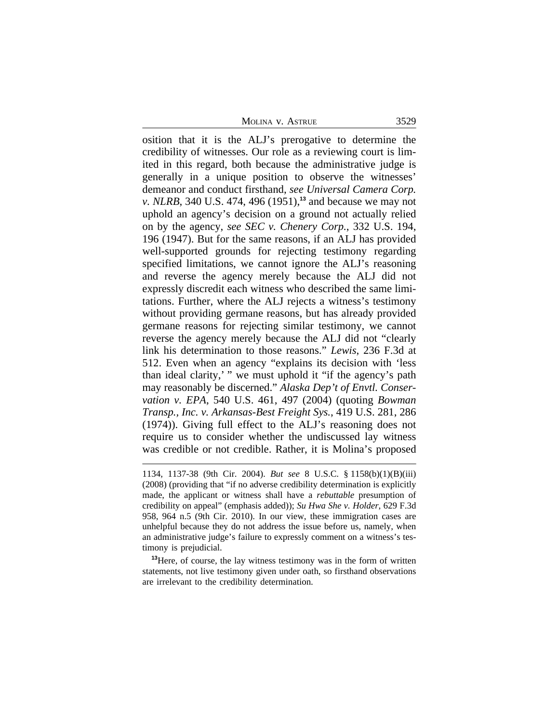MOLINA V. ASTRUE 3529

osition that it is the ALJ's prerogative to determine the credibility of witnesses. Our role as a reviewing court is limited in this regard, both because the administrative judge is generally in a unique position to observe the witnesses' demeanor and conduct firsthand, *see Universal Camera Corp. v. NLRB*, 340 U.S. 474, 496 (1951),**<sup>13</sup>** and because we may not uphold an agency's decision on a ground not actually relied on by the agency, *see SEC v. Chenery Corp.*, 332 U.S. 194, 196 (1947). But for the same reasons, if an ALJ has provided well-supported grounds for rejecting testimony regarding specified limitations, we cannot ignore the ALJ's reasoning and reverse the agency merely because the ALJ did not expressly discredit each witness who described the same limitations. Further, where the ALJ rejects a witness's testimony without providing germane reasons, but has already provided germane reasons for rejecting similar testimony, we cannot reverse the agency merely because the ALJ did not "clearly link his determination to those reasons." *Lewis*, 236 F.3d at 512. Even when an agency "explains its decision with 'less than ideal clarity,' " we must uphold it "if the agency's path may reasonably be discerned." *Alaska Dep't of Envtl. Conservation v. EPA*, 540 U.S. 461, 497 (2004) (quoting *Bowman Transp., Inc. v. Arkansas-Best Freight Sys.*, 419 U.S. 281, 286 (1974)). Giving full effect to the ALJ's reasoning does not require us to consider whether the undiscussed lay witness was credible or not credible. Rather, it is Molina's proposed

<sup>1134, 1137-38 (9</sup>th Cir. 2004). *But see* 8 U.S.C. § 1158(b)(1)(B)(iii) (2008) (providing that "if no adverse credibility determination is explicitly made, the applicant or witness shall have a *rebuttable* presumption of credibility on appeal" (emphasis added)); *Su Hwa She v. Holder*, 629 F.3d 958, 964 n.5 (9th Cir. 2010). In our view, these immigration cases are unhelpful because they do not address the issue before us, namely, when an administrative judge's failure to expressly comment on a witness's testimony is prejudicial.

<sup>&</sup>lt;sup>13</sup>Here, of course, the lay witness testimony was in the form of written statements, not live testimony given under oath, so firsthand observations are irrelevant to the credibility determination.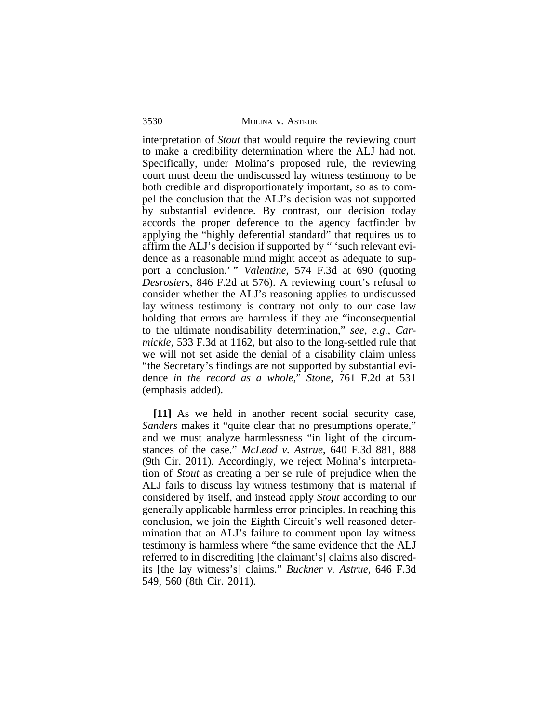3530 MOLINA v. ASTRUE

interpretation of *Stout* that would require the reviewing court to make a credibility determination where the ALJ had not. Specifically, under Molina's proposed rule, the reviewing court must deem the undiscussed lay witness testimony to be both credible and disproportionately important, so as to compel the conclusion that the ALJ's decision was not supported by substantial evidence. By contrast, our decision today accords the proper deference to the agency factfinder by applying the "highly deferential standard" that requires us to affirm the ALJ's decision if supported by " 'such relevant evidence as a reasonable mind might accept as adequate to support a conclusion.' " *Valentine*, 574 F.3d at 690 (quoting *Desrosiers*, 846 F.2d at 576). A reviewing court's refusal to consider whether the ALJ's reasoning applies to undiscussed lay witness testimony is contrary not only to our case law holding that errors are harmless if they are "inconsequential to the ultimate nondisability determination," *see, e.g.*, *Carmickle*, 533 F.3d at 1162, but also to the long-settled rule that we will not set aside the denial of a disability claim unless "the Secretary's findings are not supported by substantial evidence *in the record as a whole*," *Stone*, 761 F.2d at 531 (emphasis added).

**[11]** As we held in another recent social security case, *Sanders* makes it "quite clear that no presumptions operate," and we must analyze harmlessness "in light of the circumstances of the case." *McLeod v. Astrue*, 640 F.3d 881, 888 (9th Cir. 2011). Accordingly, we reject Molina's interpretation of *Stout* as creating a per se rule of prejudice when the ALJ fails to discuss lay witness testimony that is material if considered by itself, and instead apply *Stout* according to our generally applicable harmless error principles. In reaching this conclusion, we join the Eighth Circuit's well reasoned determination that an ALJ's failure to comment upon lay witness testimony is harmless where "the same evidence that the ALJ referred to in discrediting [the claimant's] claims also discredits [the lay witness's] claims." *Buckner v. Astrue*, 646 F.3d 549, 560 (8th Cir. 2011).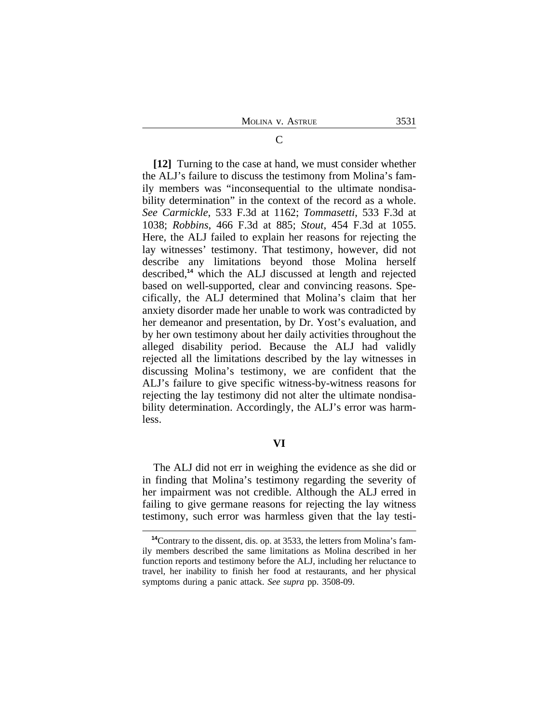**[12]** Turning to the case at hand, we must consider whether the ALJ's failure to discuss the testimony from Molina's family members was "inconsequential to the ultimate nondisability determination" in the context of the record as a whole. *See Carmickle*, 533 F.3d at 1162; *Tommasetti*, 533 F.3d at 1038; *Robbins*, 466 F.3d at 885; *Stout*, 454 F.3d at 1055. Here, the ALJ failed to explain her reasons for rejecting the lay witnesses' testimony. That testimony, however, did not describe any limitations beyond those Molina herself described,**<sup>14</sup>** which the ALJ discussed at length and rejected based on well-supported, clear and convincing reasons. Specifically, the ALJ determined that Molina's claim that her anxiety disorder made her unable to work was contradicted by her demeanor and presentation, by Dr. Yost's evaluation, and by her own testimony about her daily activities throughout the alleged disability period. Because the ALJ had validly rejected all the limitations described by the lay witnesses in discussing Molina's testimony, we are confident that the ALJ's failure to give specific witness-by-witness reasons for rejecting the lay testimony did not alter the ultimate nondisability determination. Accordingly, the ALJ's error was harmless.

# **VI**

The ALJ did not err in weighing the evidence as she did or in finding that Molina's testimony regarding the severity of her impairment was not credible. Although the ALJ erred in failing to give germane reasons for rejecting the lay witness testimony, such error was harmless given that the lay testi-

**<sup>14</sup>**Contrary to the dissent, dis. op. at 3533, the letters from Molina's family members described the same limitations as Molina described in her function reports and testimony before the ALJ, including her reluctance to travel, her inability to finish her food at restaurants, and her physical symptoms during a panic attack. *See supra* pp. 3508-09.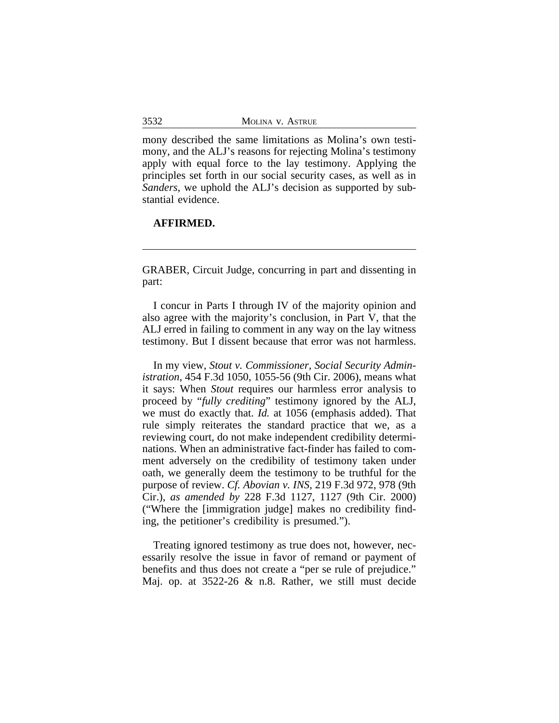mony described the same limitations as Molina's own testimony, and the ALJ's reasons for rejecting Molina's testimony apply with equal force to the lay testimony. Applying the principles set forth in our social security cases, as well as in *Sanders*, we uphold the ALJ's decision as supported by substantial evidence.

# **AFFIRMED.**

GRABER, Circuit Judge, concurring in part and dissenting in part:

I concur in Parts I through IV of the majority opinion and also agree with the majority's conclusion, in Part V, that the ALJ erred in failing to comment in any way on the lay witness testimony. But I dissent because that error was not harmless.

In my view, *Stout v. Commissioner, Social Security Administration*, 454 F.3d 1050, 1055-56 (9th Cir. 2006), means what it says: When *Stout* requires our harmless error analysis to proceed by "*fully crediting*" testimony ignored by the ALJ, we must do exactly that. *Id.* at 1056 (emphasis added). That rule simply reiterates the standard practice that we, as a reviewing court, do not make independent credibility determinations. When an administrative fact-finder has failed to comment adversely on the credibility of testimony taken under oath, we generally deem the testimony to be truthful for the purpose of review. *Cf. Abovian v. INS*, 219 F.3d 972, 978 (9th Cir.), *as amended by* 228 F.3d 1127, 1127 (9th Cir. 2000) ("Where the [immigration judge] makes no credibility finding, the petitioner's credibility is presumed.").

Treating ignored testimony as true does not, however, necessarily resolve the issue in favor of remand or payment of benefits and thus does not create a "per se rule of prejudice." Maj. op. at 3522-26 & n.8. Rather, we still must decide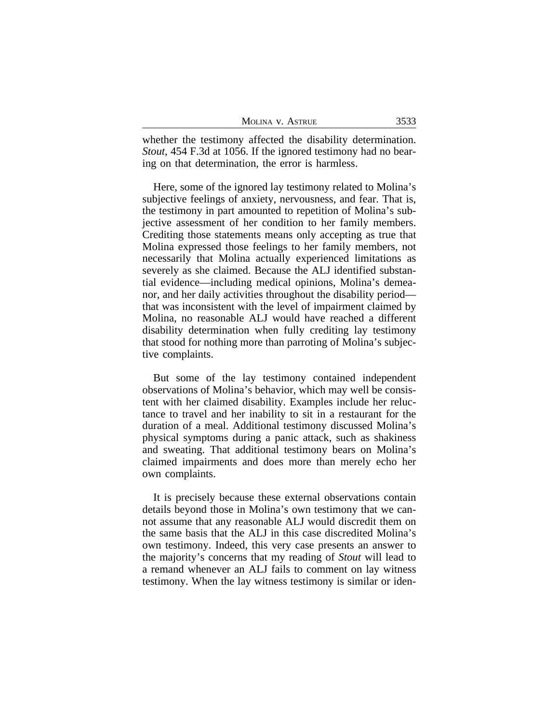| 3533<br>MOLINA V. ASTRUE |  |
|--------------------------|--|
|--------------------------|--|

whether the testimony affected the disability determination. *Stout*, 454 F.3d at 1056. If the ignored testimony had no bearing on that determination, the error is harmless.

Here, some of the ignored lay testimony related to Molina's subjective feelings of anxiety, nervousness, and fear. That is, the testimony in part amounted to repetition of Molina's subjective assessment of her condition to her family members. Crediting those statements means only accepting as true that Molina expressed those feelings to her family members, not necessarily that Molina actually experienced limitations as severely as she claimed. Because the ALJ identified substantial evidence—including medical opinions, Molina's demeanor, and her daily activities throughout the disability period that was inconsistent with the level of impairment claimed by Molina, no reasonable ALJ would have reached a different disability determination when fully crediting lay testimony that stood for nothing more than parroting of Molina's subjective complaints.

But some of the lay testimony contained independent observations of Molina's behavior, which may well be consistent with her claimed disability. Examples include her reluctance to travel and her inability to sit in a restaurant for the duration of a meal. Additional testimony discussed Molina's physical symptoms during a panic attack, such as shakiness and sweating. That additional testimony bears on Molina's claimed impairments and does more than merely echo her own complaints.

It is precisely because these external observations contain details beyond those in Molina's own testimony that we cannot assume that any reasonable ALJ would discredit them on the same basis that the ALJ in this case discredited Molina's own testimony. Indeed, this very case presents an answer to the majority's concerns that my reading of *Stout* will lead to a remand whenever an ALJ fails to comment on lay witness testimony. When the lay witness testimony is similar or iden